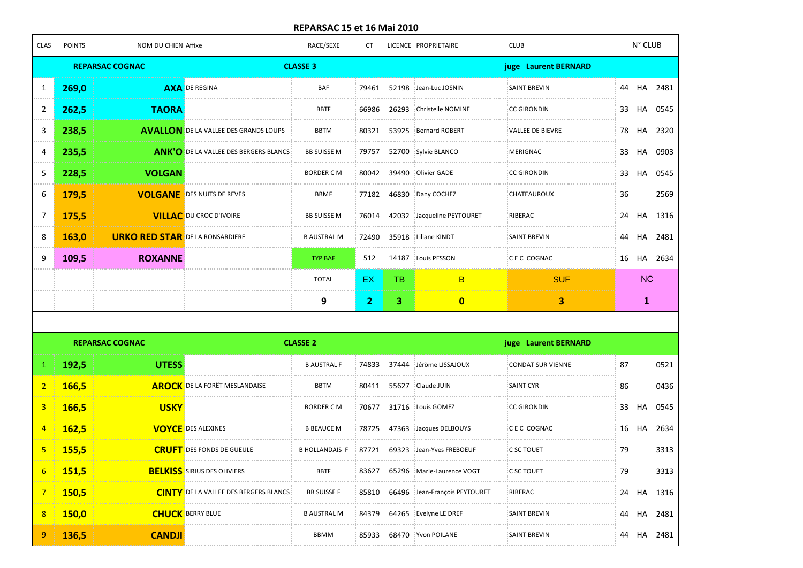## **REPARSAC 15 et 16 Mai 2010**

| <b>CLAS</b> | <b>POINTS</b>          | NOM DU CHIEN Affixe                    |                                              | RACE/SEXE          | CT. |    | LICENCE PROPRIETAIRE                 | <b>CLUB</b>          |    | $N^{\circ}$ CLUB |            |
|-------------|------------------------|----------------------------------------|----------------------------------------------|--------------------|-----|----|--------------------------------------|----------------------|----|------------------|------------|
|             | <b>REPARSAC COGNAC</b> |                                        |                                              | <b>CLASSE 3</b>    |     |    |                                      | juge Laurent BERNARD |    |                  |            |
|             | 269,0                  |                                        | <b>AXA DE REGINA</b>                         | <b>BAF</b>         |     |    | 79461 52198 Jean-Luc JOSNIN          | <b>SAINT BREVIN</b>  |    |                  | 44 HA 2481 |
| 2           | 262,5                  | <b>TAORA</b>                           |                                              | <b>BBTF</b>        |     |    | 66986 26293 Christelle NOMINE        | <b>CC GIRONDIN</b>   | 33 | HA               | 0545       |
| 3           | 238,5                  |                                        | <b>AVALLON DE LA VALLEE DES GRANDS LOUPS</b> | <b>BBTM</b>        |     |    | 80321 53925 Bernard ROBERT           | VALLEE DE BIEVRE     |    | 78 HA            | 2320       |
|             | 235,5                  |                                        | <b>ANK'O DE LA VALLEE DES BERGERS BLANCS</b> | <b>BB SUISSE M</b> |     |    | 79757 52700 Sylvie BLANCO            | <b>MERIGNAC</b>      | 33 | HA               | 0903       |
| 5           | 228,5                  | <b>VOLGAN</b>                          |                                              | <b>BORDER CM</b>   |     |    | 80042 39490 Olivier GADE             | <b>CC GIRONDIN</b>   | 33 | HA               | 0545       |
| 6           | 179,5                  |                                        | <b>VOLGANE</b> DES NUITS DE REVES            | <b>BBMF</b>        |     |    | 77182 46830 Dany COCHEZ              | CHATEAUROUX          | 36 |                  | 2569       |
| 7           | 175,5                  |                                        | <b>VILLAC</b> DU CROC D'IVOIRE               | <b>BB SUISSE M</b> |     |    | 76014   42032   Jacqueline PEYTOURET | RIBERAC              |    |                  | 24 HA 1316 |
| 8           | <b>163,0</b>           | <b>URKO RED STAR DE LA RONSARDIERE</b> |                                              | <b>B AUSTRAL M</b> |     |    | 72490 35918 Liliane KINDT            | <b>SAINT BREVIN</b>  |    |                  | 44 HA 2481 |
| 9           | 109,5                  | <b>ROXANNE</b>                         |                                              | <b>TYP BAF</b>     | 512 |    | 14187 Louis PESSON                   | <b>CEC COGNAC</b>    | 16 |                  | HA 2634    |
|             |                        |                                        |                                              | <b>TOTAL</b>       | EX. | TB | B                                    | <b>SUF</b>           |    | <b>NC</b>        |            |
|             |                        |                                        |                                              | q                  | 2.  | 3  | $\mathbf{0}$                         | 3                    |    |                  |            |

| <b>REPARSAC COGNAC</b> |              |               |                                              | <b>CLASSE 2</b>    |  |                                     | juge Laurent BERNARD     |     |    |            |  |
|------------------------|--------------|---------------|----------------------------------------------|--------------------|--|-------------------------------------|--------------------------|-----|----|------------|--|
|                        | 192,5        | <b>UTESS</b>  |                                              | <b>B AUSTRAL F</b> |  | 74833 37444 Jéröme LISSAJOUX        | <b>CONDAT SUR VIENNE</b> | 87  |    | 0521       |  |
| $2^{\circ}$            | <b>166,5</b> |               | <b>AROCK</b> DE LA FORET MESLANDAISE         | <b>BBTM</b>        |  | 80411 55627 Claude JUIN             | <b>SAINT CYR</b>         | 86  |    | 0436       |  |
| 3,                     | <b>166,5</b> | <b>USKY</b>   |                                              | <b>BORDER C M</b>  |  | 70677 31716 Louis GOMEZ             | <b>CC GIRONDIN</b>       | 33. | HA | 0545       |  |
|                        | <b>162,5</b> |               | <b>VOYCE</b> DES ALEXINES                    | <b>B BEAUCE M</b>  |  | 78725   47363   Jacques DELBOUYS    | <b>CEC COGNAC</b>        |     |    | 16 HA 2634 |  |
| 5                      | <b>155,5</b> |               | <b>CRUFT</b> DES FONDS DE GUEULE             | B HOLLANDAIS F     |  | 87721 69323 Jean-Yves FREBOEUF      | <b>C SC TOUET</b>        | 79  |    | 3313       |  |
| 6                      | 151,5        |               | <b>BELKISS</b> SIRIUS DES OLIVIERS           | <b>BBTF</b>        |  | 83627 65296 Marie-Laurence VOGT     | <b>C SC TOUET</b>        | 79  |    | 3313       |  |
|                        | <b>150,5</b> |               | <b>CINTY</b> DE LA VALLEE DES BERGERS BLANCS | <b>BB SUISSE F</b> |  | 85810 66496 Jean-François PEYTOURET | RIBERAC                  | 24  |    | HA 1316    |  |
| 8                      | <b>150,0</b> |               | <b>CHUCK BERRY BLUE</b>                      | <b>B AUSTRAL M</b> |  | 84379 64265 Evelyne LE DREF         | <b>SAINT BREVIN</b>      | 44  |    | HA 2481    |  |
|                        | 136.5        | <b>CANDJI</b> |                                              | <b>BBMM</b>        |  | 85933 68470 Yvon POILANE            | <b>SAINT BREVIN</b>      | 44  | HA | 2481       |  |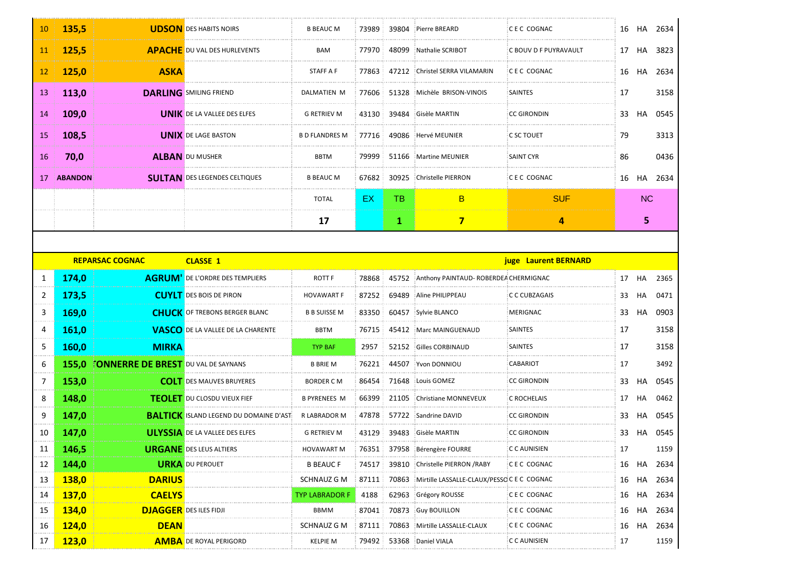| 10 <sup>°</sup> | <b>135,5</b>   |             | <b>UDSON</b> DES HABITS NOIRS        | <b>B BEAUC M</b>                               |     |    | 73989 39804 Pierre BREARD                | <b>CECCOGNAC</b>             |     |                | 16 HA 2634 |
|-----------------|----------------|-------------|--------------------------------------|------------------------------------------------|-----|----|------------------------------------------|------------------------------|-----|----------------|------------|
| <b>11</b>       | <b>125,5</b>   |             | <b>APACHE</b> DU VAL DES HURLEVENTS  | BAM                                            |     |    | 77970 48099 Nathalie SCRIBOT             | <b>C BOUV D F PUYRAVAULT</b> | 17  | HA.            | 3823       |
| 12              | <b>125,0</b>   | <b>ASKA</b> |                                      | STAFF A F                                      |     |    | 77863   47212   Christel SERRA VILAMARIN | CEC COGNAC                   |     |                | 16 HA 2634 |
| 13              | 113,0          |             | DARLING SMILING FRIEND               | DALMATIEN M                                    |     |    | 77606 51328 Michèle BRISON-VINOIS        | <b>SAINTES</b>               | 17  |                | 3158       |
| 14              | 109,0          |             | <b>UNIK</b> DE LA VALLEE DES ELFES   | G RETRIEV M                                    |     |    | 43130 39484 Gisèle MARTIN                | <b>CC GIRONDIN</b>           | 33. | HA             | 0545       |
| 15              | 108,5          |             | <b>UNIX</b> DE LAGE BASTON           | B D FLANDRES M : 77716 : 49086 : Hervé MEUNIER |     |    |                                          | <b>C SC TOUET</b>            | 79  |                | 3313       |
| 16              | 70,0           |             | <b>ALBAN DU MUSHER</b>               | <b>BBTM</b>                                    |     |    | 79999 51166 Martine MEUNIER              | <b>SAINT CYR</b>             | 86  |                | 0436       |
| 17              | <b>ABANDON</b> |             | <b>SULTAN DES LEGENDES CELTIQUES</b> | B BEAUC M                                      |     |    | 67682 30925 Christelle PIERRON           | <b>CECCOGNAC</b>             |     |                | 16 HA 2634 |
|                 |                |             |                                      | <b>TOTAL</b>                                   | EX. | TB |                                          | <b>SUF</b>                   |     | N <sub>C</sub> |            |
|                 |                |             |                                      |                                                |     |    |                                          |                              |     |                |            |

|    |              | <b>REPARSAC COGNAC</b>                     | juge Laurent BERNARD<br><b>CLASSE 1</b>       |                       |       |  |                                                    |                     |    |           |      |  |
|----|--------------|--------------------------------------------|-----------------------------------------------|-----------------------|-------|--|----------------------------------------------------|---------------------|----|-----------|------|--|
| 1  | 174,0        |                                            | <b>AGRUM'DE L'ORDRE DES TEMPLIERS</b>         | <b>ROTT F</b>         |       |  | 78868   45752 Anthony PAINTAUD-ROBERDEA CHERMIGNAC |                     |    | 17 HA     | 2365 |  |
| 2  | 173,5        |                                            | <b>CUYLT</b> DES BOIS DE PIRON                | <b>HOVAWART F</b>     | 87252 |  | 69489 Aline PHILIPPEAU                             | C C CUBZAGAIS       | 33 | HA        | 0471 |  |
| 3  | 169,0        |                                            | <b>CHUCK</b> OF TREBONS BERGER BLANC          | <b>B B SUISSE M</b>   | 83350 |  | 60457 Sylvie BLANCO                                | MERIGNAC            | 33 | HA        | 0903 |  |
| 4  | 161,0        |                                            | <b>VASCO</b> DE LA VALLEE DE LA CHARENTE      | <b>BBTM</b>           | 76715 |  | 45412 Marc MAINGUENAUD                             | <b>SAINTES</b>      | 17 |           | 3158 |  |
| 5  | 160,0        | <b>MIRKA</b>                               |                                               | <b>TYP BAF</b>        | 2957  |  | 52152 Gilles CORBINAUD                             | <b>SAINTES</b>      | 17 |           | 3158 |  |
| 6  | 155,0        | <b>JONNERRE DE BREST DU VAL DE SAYNANS</b> |                                               | <b>B BRIE M</b>       | 76221 |  | 44507 Yvon DONNIOU                                 | CABARIOT            | 17 |           | 3492 |  |
| 7  | 153,0        |                                            | <b>COLT</b> DES MAUVES BRUYERES               | <b>BORDER C M</b>     | 86454 |  | 71648 Louis GOMEZ                                  | <b>CC GIRONDIN</b>  | 33 | HA        | 0545 |  |
| 8  | 148,0        |                                            | <b>TEOLET</b> DU CLOSDU VIEUX FIEF            | <b>B PYRENEES M</b>   | 66399 |  | 21105 Christiane MONNEVEUX                         | C ROCHELAIS         | 17 | HA        | 0462 |  |
| 9  | 147,0        |                                            | <b>BALTICK</b> ISLAND LEGEND DU DOMAINE D'AST | R LABRADOR M          |       |  | 47878 : 57722 : Sandrine DAVID                     | <b>CC GIRONDIN</b>  | 33 | <b>HA</b> | 0545 |  |
| 10 | 147,0        |                                            | <b>ULYSSIA</b> DE LA VALLEE DES ELFES         | <b>G RETRIEV M</b>    | 43129 |  | 39483 Gisèle MARTIN                                | <b>CC GIRONDIN</b>  | 33 | HA        | 0545 |  |
| 11 | 146,5        |                                            | <b>URGANE</b> DES LEUS ALTIERS                | <b>HOVAWART M</b>     | 76351 |  | 37958 Bérengère FOURRE                             | <b>C C AUNISIEN</b> | 17 |           | 1159 |  |
| 12 | 144,0        |                                            | <b>URKA DU PEROUET</b>                        | <b>B BEAUCF</b>       | 74517 |  | 39810 Christelle PIERRON / RABY                    | C E C COGNAC        | 16 | HA        | 2634 |  |
| 13 | <b>138,0</b> | <b>DARIUS</b>                              |                                               | <b>SCHNAUZ G M</b>    | 87111 |  | 70863 : Mirtille LASSALLE-CLAUX/PESSOCEC COGNAC    |                     | 16 | HA        | 2634 |  |
| 14 | 137,0        | <b>CAELYS</b>                              |                                               | <b>TYP LABRADOR F</b> | 4188  |  | 62963 Grégory ROUSSE                               | C E C COGNAC        | 16 | HA        | 2634 |  |
| 15 | 134,0        | <b>DJAGGER</b> DESILES FIDJI               |                                               | <b>BBMM</b>           | 87041 |  | 70873 Guy BOUILLON                                 | C E C COGNAC        | 16 | HA        | 2634 |  |
| 16 | 124,0        | <b>DEAN</b>                                |                                               | <b>SCHNAUZ G M</b>    | 87111 |  | 70863 Mirtille LASSALLE-CLAUX                      | CEC COGNAC          | 16 | HA        | 2634 |  |
| 17 | <b>123,0</b> |                                            | <b>AMBA</b> DE ROYAL PERIGORD                 | <b>KELPIE M</b>       | 79492 |  | 53368 Daniel VIALA                                 | <b>C C AUNISIEN</b> | 17 |           | 1159 |  |